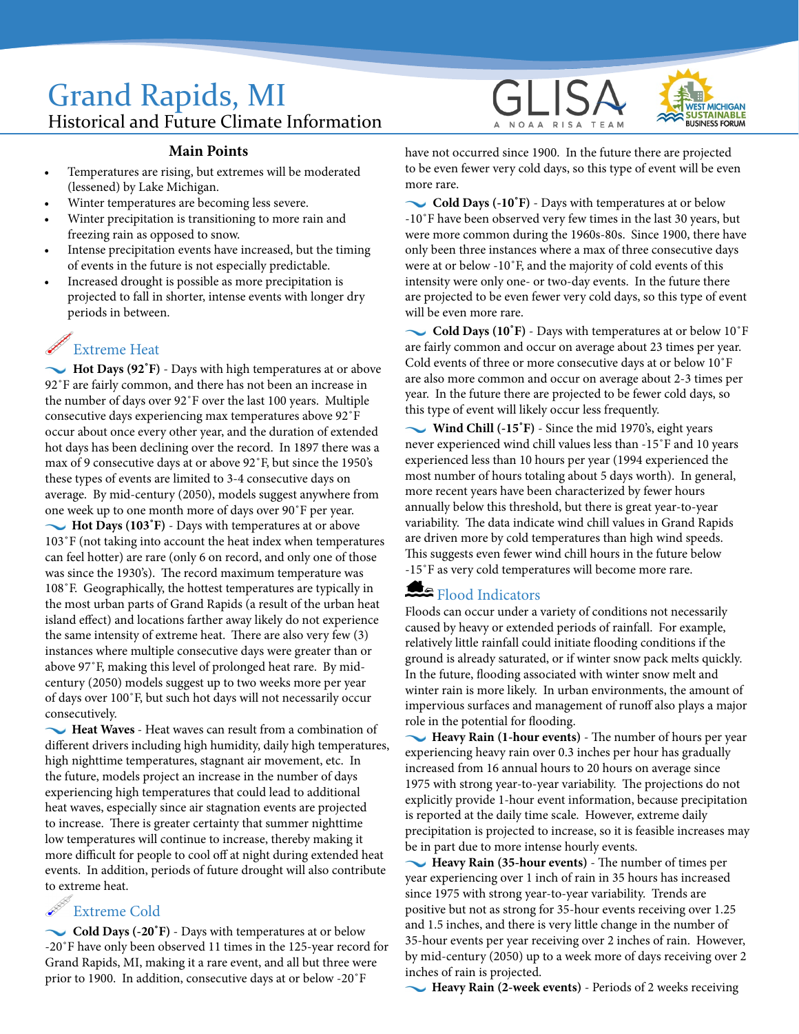## Grand Rapids, MI Historical and Future Climate Information

#### **Main Points**

- Temperatures are rising, but extremes will be moderated (lessened) by Lake Michigan.
- Winter temperatures are becoming less severe.
- Winter precipitation is transitioning to more rain and freezing rain as opposed to snow.
- Intense precipitation events have increased, but the timing of events in the future is not especially predictable.
- Increased drought is possible as more precipitation is projected to fall in shorter, intense events with longer dry periods in between.

# Extreme Heat

 **Hot Days (92˚F)** - Days with high temperatures at or above 92˚F are fairly common, and there has not been an increase in the number of days over 92˚F over the last 100 years. Multiple consecutive days experiencing max temperatures above 92˚F occur about once every other year, and the duration of extended hot days has been declining over the record. In 1897 there was a max of 9 consecutive days at or above 92˚F, but since the 1950's these types of events are limited to 3-4 consecutive days on average. By mid-century (2050), models suggest anywhere from one week up to one month more of days over 90˚F per year. **Hot Days (103˚F)** - Days with temperatures at or above 103˚F (not taking into account the heat index when temperatures can feel hotter) are rare (only 6 on record, and only one of those was since the 1930's). The record maximum temperature was 108˚F. Geographically, the hottest temperatures are typically in the most urban parts of Grand Rapids (a result of the urban heat island effect) and locations farther away likely do not experience the same intensity of extreme heat. There are also very few (3) instances where multiple consecutive days were greater than or above 97˚F, making this level of prolonged heat rare. By midcentury (2050) models suggest up to two weeks more per year of days over 100˚F, but such hot days will not necessarily occur consecutively.

 **Heat Waves** - Heat waves can result from a combination of different drivers including high humidity, daily high temperatures, high nighttime temperatures, stagnant air movement, etc. In the future, models project an increase in the number of days experiencing high temperatures that could lead to additional heat waves, especially since air stagnation events are projected to increase. There is greater certainty that summer nighttime low temperatures will continue to increase, thereby making it more difficult for people to cool off at night during extended heat events. In addition, periods of future drought will also contribute to extreme heat.

### Extreme Cold

 **Cold Days (-20˚F)** - Days with temperatures at or below -20˚F have only been observed 11 times in the 125-year record for Grand Rapids, MI, making it a rare event, and all but three were prior to 1900. In addition, consecutive days at or below -20˚F





have not occurred since 1900. In the future there are projected to be even fewer very cold days, so this type of event will be even more rare.

 **Cold Days (-10˚F)** - Days with temperatures at or below -10˚F have been observed very few times in the last 30 years, but were more common during the 1960s-80s. Since 1900, there have only been three instances where a max of three consecutive days were at or below -10˚F, and the majority of cold events of this intensity were only one- or two-day events. In the future there are projected to be even fewer very cold days, so this type of event will be even more rare.

 **Cold Days (10˚F)** - Days with temperatures at or below 10˚F are fairly common and occur on average about 23 times per year. Cold events of three or more consecutive days at or below 10˚F are also more common and occur on average about 2-3 times per year. In the future there are projected to be fewer cold days, so this type of event will likely occur less frequently.

 **Wind Chill (-15˚F)** - Since the mid 1970's, eight years never experienced wind chill values less than -15˚F and 10 years experienced less than 10 hours per year (1994 experienced the most number of hours totaling about 5 days worth). In general, more recent years have been characterized by fewer hours annually below this threshold, but there is great year-to-year variability. The data indicate wind chill values in Grand Rapids are driven more by cold temperatures than high wind speeds. This suggests even fewer wind chill hours in the future below -15˚F as very cold temperatures will become more rare.

## Flood Indicators

Floods can occur under a variety of conditions not necessarily caused by heavy or extended periods of rainfall. For example, relatively little rainfall could initiate flooding conditions if the ground is already saturated, or if winter snow pack melts quickly. In the future, flooding associated with winter snow melt and winter rain is more likely. In urban environments, the amount of impervious surfaces and management of runoff also plays a major role in the potential for flooding.

 **Heavy Rain (1-hour events)** - The number of hours per year experiencing heavy rain over 0.3 inches per hour has gradually increased from 16 annual hours to 20 hours on average since 1975 with strong year-to-year variability. The projections do not explicitly provide 1-hour event information, because precipitation is reported at the daily time scale. However, extreme daily precipitation is projected to increase, so it is feasible increases may be in part due to more intense hourly events.

 **Heavy Rain (35-hour events)** - The number of times per year experiencing over 1 inch of rain in 35 hours has increased since 1975 with strong year-to-year variability. Trends are positive but not as strong for 35-hour events receiving over 1.25 and 1.5 inches, and there is very little change in the number of 35-hour events per year receiving over 2 inches of rain. However, by mid-century (2050) up to a week more of days receiving over 2 inches of rain is projected.

**Heavy Rain (2-week events)** - Periods of 2 weeks receiving